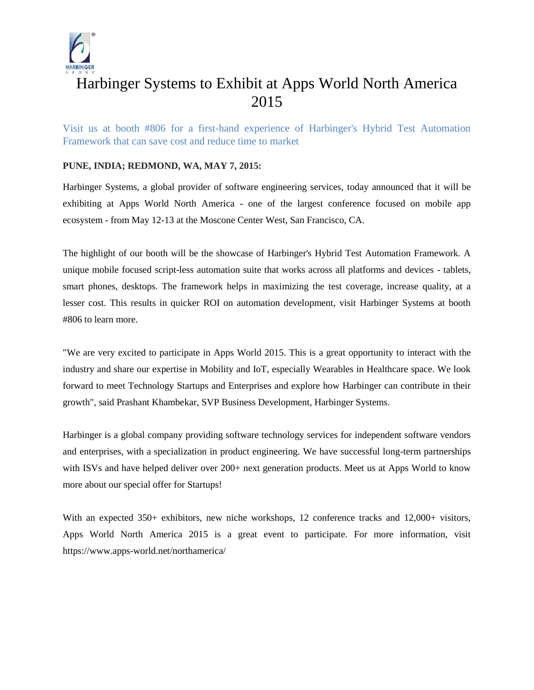

# Harbinger Systems to Exhibit at Apps World North America 2015

Visit us at booth #806 for a first-hand experience of Harbinger's Hybrid Test Automation Framework that can save cost and reduce time to market

### **PUNE, INDIA; REDMOND, WA, MAY 7, 2015:**

Harbinger Systems, a global provider of software engineering services, today announced that it will be exhibiting at Apps World North America - one of the largest conference focused on mobile app ecosystem - from May 12-13 at the Moscone Center West, San Francisco, CA.

The highlight of our booth will be the showcase of Harbinger's Hybrid Test Automation Framework. A unique mobile focused script-less automation suite that works across all platforms and devices - tablets, smart phones, desktops. The framework helps in maximizing the test coverage, increase quality, at a lesser cost. This results in quicker ROI on automation development, visit Harbinger Systems at booth #806 to learn more.

"We are very excited to participate in Apps World 2015. This is a great opportunity to interact with the industry and share our expertise in Mobility and IoT, especially Wearables in Healthcare space. We look forward to meet Technology Startups and Enterprises and explore how Harbinger can contribute in their growth", said Prashant Khambekar, SVP Business Development, Harbinger Systems.

Harbinger is a global company providing software technology services for independent software vendors and enterprises, with a specialization in product engineering. We have successful long-term partnerships with ISVs and have helped deliver over 200+ next generation products. Meet us at Apps World to know more about our special offer for Startups!

With an expected 350+ exhibitors, new niche workshops, 12 conference tracks and 12,000+ visitors, Apps World North America 2015 is a great event to participate. For more information, visit https://www.apps-world.net/northamerica/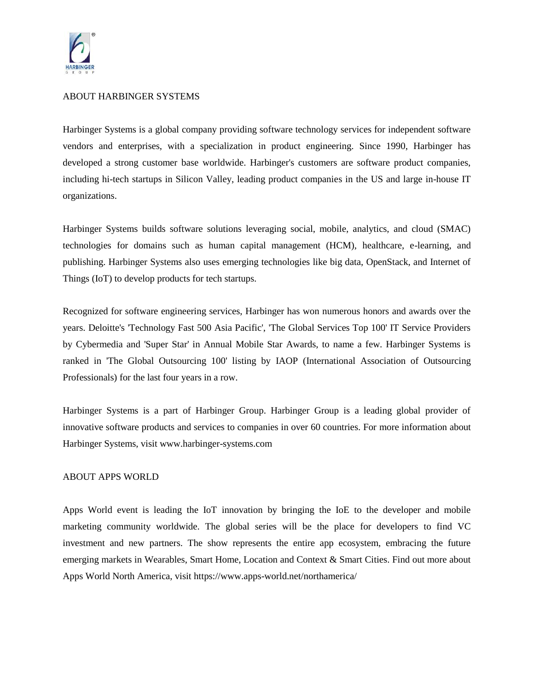

#### ABOUT HARBINGER SYSTEMS

Harbinger Systems is a global company providing software technology services for independent software vendors and enterprises, with a specialization in product engineering. Since 1990, Harbinger has developed a strong customer base worldwide. Harbinger's customers are software product companies, including hi-tech startups in Silicon Valley, leading product companies in the US and large in-house IT organizations.

Harbinger Systems builds software solutions leveraging social, mobile, analytics, and cloud (SMAC) technologies for domains such as human capital management (HCM), healthcare, e-learning, and publishing. Harbinger Systems also uses emerging technologies like big data, OpenStack, and Internet of Things (IoT) to develop products for tech startups.

Recognized for software engineering services, Harbinger has won numerous honors and awards over the years. Deloitte's 'Technology Fast 500 Asia Pacific', 'The Global Services Top 100' IT Service Providers by Cybermedia and 'Super Star' in Annual Mobile Star Awards, to name a few. Harbinger Systems is ranked in 'The Global Outsourcing 100' listing by IAOP (International Association of Outsourcing Professionals) for the last four years in a row.

Harbinger Systems is a part of Harbinger Group. Harbinger Group is a leading global provider of innovative software products and services to companies in over 60 countries. For more information about Harbinger Systems, visit www.harbinger-systems.com

#### ABOUT APPS WORLD

Apps World event is leading the IoT innovation by bringing the IoE to the developer and mobile marketing community worldwide. The global series will be the place for developers to find VC investment and new partners. The show represents the entire app ecosystem, embracing the future emerging markets in Wearables, Smart Home, Location and Context & Smart Cities. Find out more about Apps World North America, visit https://www.apps-world.net/northamerica/